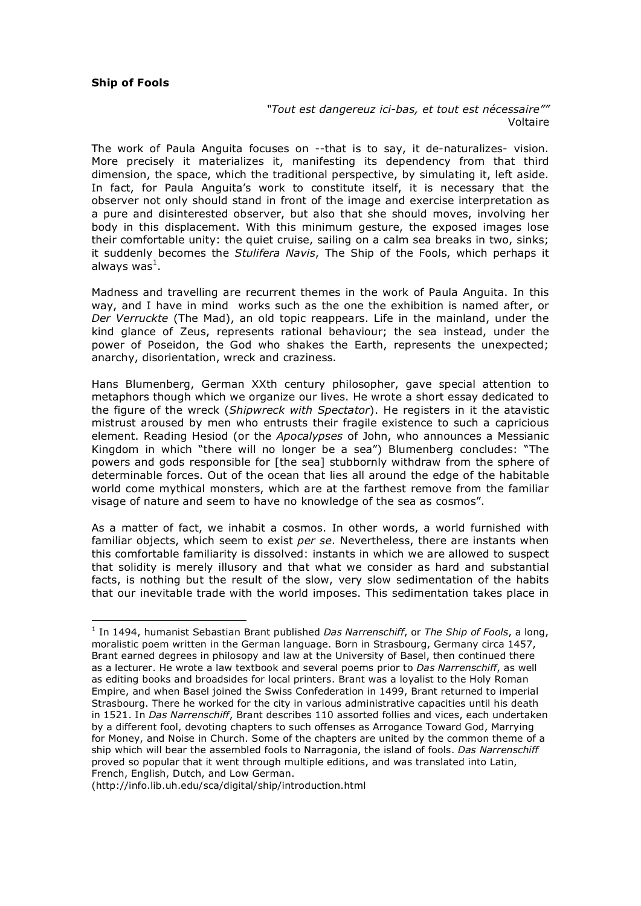## **Ship of Fools**

*"Tout est dangereuz ici-bas, et tout est nécessaire""* Voltaire

The work of Paula Anguita focuses on --that is to say, it de-naturalizes- vision. More precisely it materializes it, manifesting its dependency from that third dimension, the space, which the traditional perspective, by simulating it, left aside. In fact, for Paula Anguita's work to constitute itself, it is necessary that the observer not only should stand in front of the image and exercise interpretation as a pure and disinterested observer, but also that she should moves, involving her body in this displacement. With this minimum gesture, the exposed images lose their comfortable unity: the quiet cruise, sailing on a calm sea breaks in two, sinks; it suddenly becomes the *Stulifera Navis*, The Ship of the Fools, which perhaps it always was $^1$ .

Madness and travelling are recurrent themes in the work of Paula Anguita. In this way, and I have in mind works such as the one the exhibition is named after, or *Der Verruckte* (The Mad), an old topic reappears. Life in the mainland, under the kind glance of Zeus, represents rational behaviour; the sea instead, under the power of Poseidon, the God who shakes the Earth, represents the unexpected; anarchy, disorientation, wreck and craziness.

Hans Blumenberg, German XXth century philosopher, gave special attention to metaphors though which we organize our lives. He wrote a short essay dedicated to the figure of the wreck (*Shipwreck with Spectator*). He registers in it the atavistic mistrust aroused by men who entrusts their fragile existence to such a capricious element. Reading Hesiod (or the *Apocalypses* of John, who announces a Messianic Kingdom in which "there will no longer be a sea") Blumenberg concludes: "The powers and gods responsible for [the sea] stubbornly withdraw from the sphere of determinable forces. Out of the ocean that lies all around the edge of the habitable world come mythical monsters, which are at the farthest remove from the familiar visage of nature and seem to have no knowledge of the sea as cosmos".

As a matter of fact, we inhabit a cosmos. In other words, a world furnished with familiar objects, which seem to exist *per se*. Nevertheless, there are instants when this comfortable familiarity is dissolved: instants in which we are allowed to suspect that solidity is merely illusory and that what we consider as hard and substantial facts, is nothing but the result of the slow, very slow sedimentation of the habits that our inevitable trade with the world imposes. This sedimentation takes place in

(http://info.lib.uh.edu/sca/digital/ship/introduction.html

 $\overline{a}$ <sup>1</sup> In 1494, humanist Sebastian Brant published *Das Narrenschiff*, or *The Ship of Fools*, a long, moralistic poem written in the German language. Born in Strasbourg, Germany circa 1457, Brant earned degrees in philosopy and law at the University of Basel, then continued there as a lecturer. He wrote a law textbook and several poems prior to *Das Narrenschiff*, as well as editing books and broadsides for local printers. Brant was a loyalist to the Holy Roman Empire, and when Basel joined the Swiss Confederation in 1499, Brant returned to imperial Strasbourg. There he worked for the city in various administrative capacities until his death in 1521. In *Das Narrenschiff*, Brant describes 110 assorted follies and vices, each undertaken by a different fool, devoting chapters to such offenses as Arrogance Toward God, Marrying for Money, and Noise in Church. Some of the chapters are united by the common theme of a ship which will bear the assembled fools to Narragonia, the island of fools. *Das Narrenschiff* proved so popular that it went through multiple editions, and was translated into Latin, French, English, Dutch, and Low German.